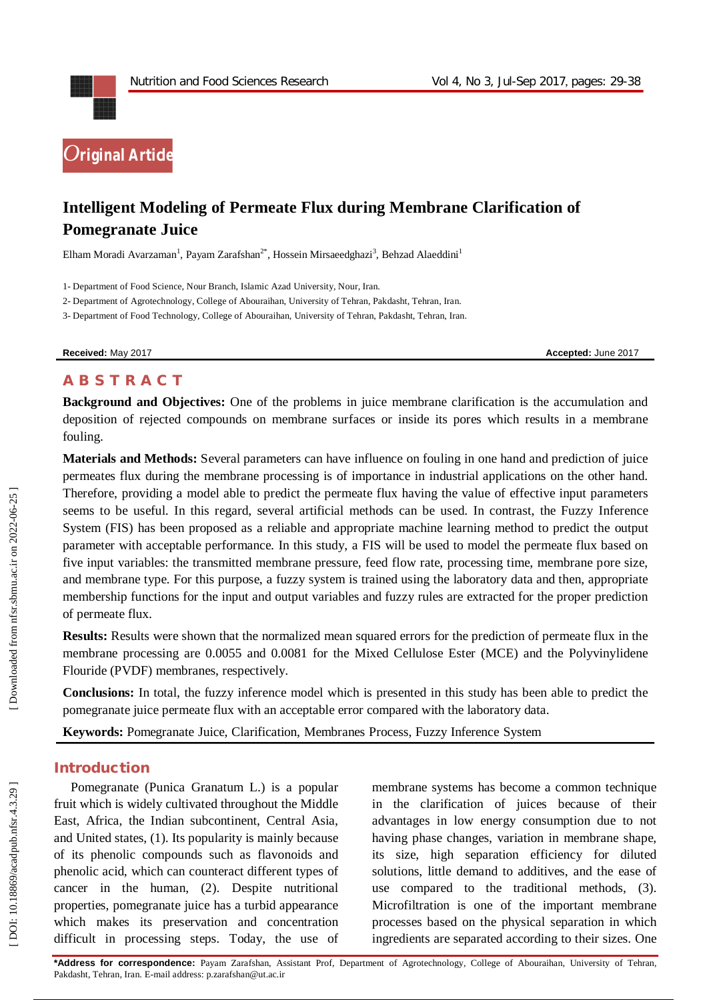

# **Intelligent Modeling of Permeate Flux during Membrane Clarification of Pomegranate Juice**

Elham Moradi Avarzaman<sup>1</sup>, Payam Zarafshan<sup>2\*</sup>, Hossein Mirsaeedghazi<sup>3</sup>, Behzad Alaeddini<sup>1</sup>

1 - Department of Food Science, Nour Branch, Islamic Azad University, Nour, Iran.

2 - Department of Agrotechnology, College of Abouraihan, University of Tehran, Pakdasht, Tehran, Iran.

3 - Department of Food Technology, College of Abouraihan, University of Tehran, Pakdasht, Tehran, Iran.

**Received:** May 201

7 **Accepted:** June 201 7

## **A B S T R A C T**

**Background and Objectives:** One of the problems in juice membrane clarification is the accumulation and deposition of rejected compounds on membrane surfaces or inside its pores which results in a membrane fouling.

**Materials and Methods:** Several parameters can have influence on fouling in one hand and prediction of juice permeates flux during the membrane processing is of importance in industrial applications on the other hand. Therefore, providing a model able to predict the permeate flux having the value of effective input parameters seems to be useful. In this regard, several artificial methods can be used. In contrast, the Fuzzy Inference System (FIS) has been proposed as a reliable and appropriate machine learning method to predict the output parameter with acceptable performance. In this study, a FIS will be used to model the permeate flux based on five input variables: the transmitted membrane pressure, feed flow rate, processing time, membrane pore size, and membrane type. For this purpose, a fuzzy system is trained using the laboratory data and then, appropriate membership functions for the input and output variables and fuzzy rules are extracted for the proper prediction of permeate flux.

**Results:** Results were shown that the normalized mean squared errors for the prediction of permeate flux in the membrane processing are 0.0055 and 0.0081 for the Mixed Cellulose Ester (MCE) and the Polyvinylidene Flouride (PVDF) membranes, respectively.

**Conclusions:** In total, the fuzzy inference model which is presented in this study has been able to predict the pomegranate juice permeate flux with an acceptable error compared with the laboratory data.

**Keywords:** Pomegranate Juice, Clarification, Membranes Process, Fuzzy Inference System

## **Introduction**

Pomegranate (Punica Granatum L.) is a popular fruit which is widely cultivated throughout the Middle East, Africa, the Indian subcontinent, Central Asia, and United states, ( 1 ). Its popularity is mainly because of its phenolic compounds such as flavonoids and phenolic acid, which can counteract different types of cancer in the human, ( 2 ). Despite nutritional properties, pomegranate juice has a turbid appearance which makes its preservation and concentration difficult in processing steps. Today, the use of

membrane systems has become a common technique in the clarification of juices because of their advantages in low energy consumption due to not having phase changes, variation in membrane shape, its size, high separation efficiency for diluted solutions, little demand to additives, and the ease of use compared to the traditional methods, ( 3 ). Microfiltration is one of the important membrane processes based on the physical separation in which ingredients are separated according to their sizes. One

**\*Address for correspondence:** Payam Zarafshan, Assistant Prof, Department of Agrotechnology, College of Abouraihan, University of Tehran, Pakdasht, Tehran, Iran. E -mail address: p.zarafshan@ut.ac.ir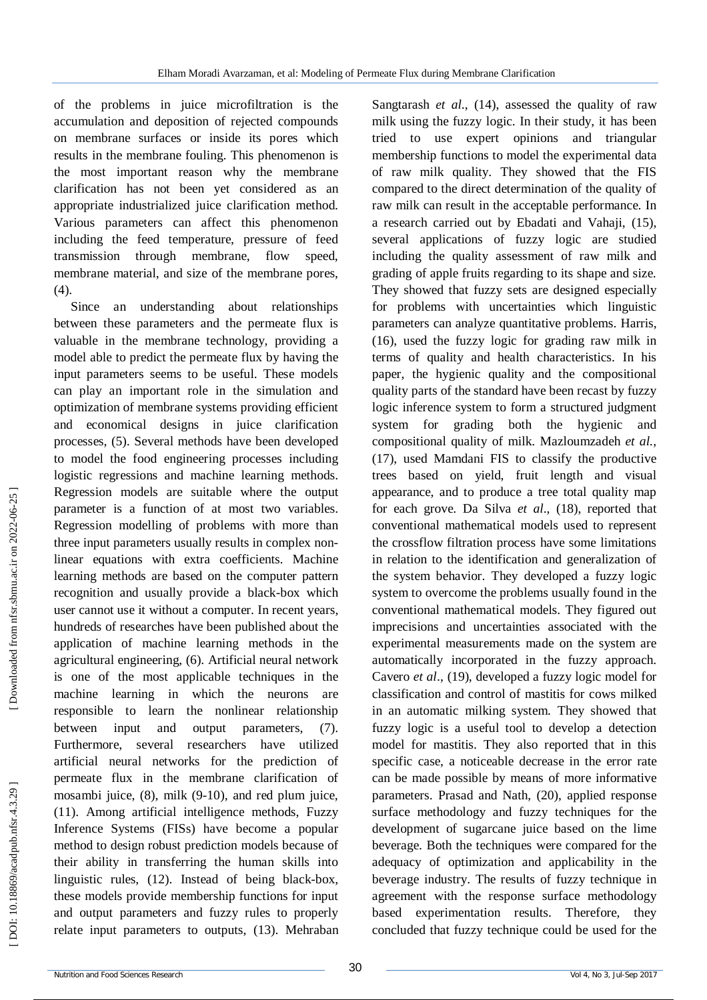of the problems in juice microfiltration is the accumulation and deposition of rejected compounds on membrane surfaces or inside its pores which results in the membrane fouling. This phenomenon is the most important reason why the membrane clarification has not been yet considered as an appropriate industrialized juice clarification method. Various parameters can affect this phenomenon including the feed temperature, pressure of feed transmission through membrane, flow speed, membrane material, and size of the membrane pores, (4).

Since an understanding about relationships between these parameters and the permeate flux is valuable in the membrane technology, providing a model able to predict the permeate flux by having the input parameters seems to be useful. These models can play an important role in the simulation and optimization of membrane systems providing efficient and economical designs in juice clarification processes, ( 5 ). Several methods have been developed to model the food engineering processes including logistic regressions and machine learning methods. Regression models are suitable where the output parameter is a function of at most two variables. Regression modelling of problems with more than three input parameters usually results in complex non linear equations with extra coefficients. Machine learning methods are based on the computer pattern recognition and usually provide a black -box which user cannot use it without a computer. In recent years, hundreds of researches have been published about the application of machine learning methods in the agricultural engineering, ( 6 ). Artificial neural network is one of the most applicable techniques in the machine learning in which the neurons are responsible to learn the nonlinear relationship between input and output parameters,  $(7).$ Furthermore, several researchers have utilized artificial neural networks for the prediction of permeate flux in the membrane clarification of mosambi juice, (8), milk (9-10), and red plum juice, (11 ). Among artificial intelligence methods, Fuzzy Inference Systems (FISs) have become a popular method to design robust prediction models because of their ability in transferring the human skills into linguistic rules, (12 ). Instead of being black -box, these models provide membership functions for input and output parameters and fuzzy rules to properly relate input parameters to outputs, (13 ). Mehraban

Sangtarash *et al.*, (14), assessed the quality of raw milk using the fuzzy logic. In their study, it has been tried to use expert opinions and triangular membership functions to model the experimental data of raw milk quality. They showed that the FIS compared to the direct determination of the quality of raw milk can result in the acceptable performance. In a research carried out by Ebadati and Vahaji, (15 ), several applications of fuzzy logic are studied including the quality assessment of raw milk and grading of apple fruits regarding to its shape and size. They showed that fuzzy sets are designed especially for problems with uncertainties which linguistic parameters can analyze quantitative problems. Harris, (16), used the fuzzy logic for grading raw milk in terms of quality and health characteristics. In his paper, the hygienic quality and the compositional quality parts of the standard have been recast by fuzzy logic inference system to form a structured judgment system for grading both the hygienic and compositional quality of milk. Mazloumzadeh *et al.,* (17), used Mamdani FIS to classify the productive trees based on yield, fruit length and visual appearance, and to produce a tree total quality map for each grove. Da Silva *et al*., (18 ), reported that conventional mathematical models used to represent the crossflow filtration process have some limitations in relation to the identification and generalization of the system behavior. They developed a fuzzy logic system to overcome the problems usually found in the conventional mathematical models. They figured out imprecisions and uncertainties associated with the experimental measurements made on the system are automatically incorporated in the fuzzy approach. Cavero *et al*., (19 ), developed a fuzzy logic model for classification and control of mastitis for cows milked in an automatic milking system. They showed that fuzzy logic is a useful tool to develop a detection model for mastitis. They also reported that in this specific case, a noticeable decrease in the error rate can be made possible by means of more informative parameters. Prasad and Nath, (20 ), applied response surface methodology and fuzzy techniques for the development of sugarcane juice based on the lime beverage. Both the techniques were compared for the adequacy of optimization and applicability in the beverage industry. The results of fuzzy technique in agreement with the response surface methodology based experimentation results. Therefore, they concluded that fuzzy technique could be used for the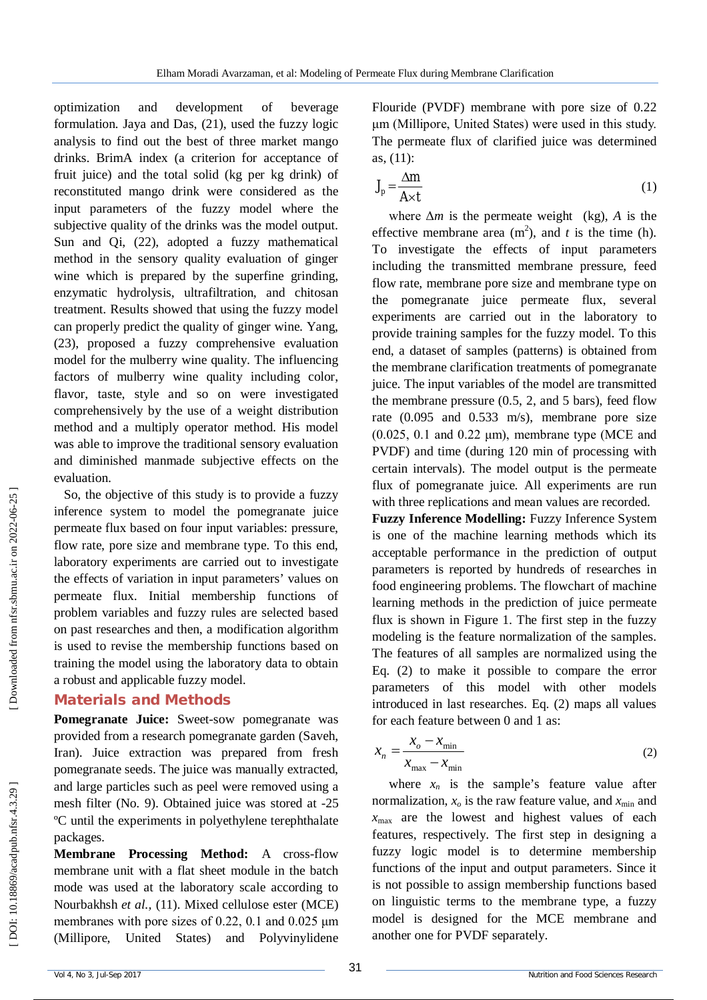optimization and development of beverage formulation. Jaya and Das, (21 ), used the fuzzy logic analysis to find out the best of three market mango drinks. BrimA index (a criterion for acceptance of fruit juice) and the total solid (kg per kg drink) of reconstituted mango drink were considered as the input parameters of the fuzzy model where the subjective quality of the drinks was the model output. Sun and Qi, (22 ), adopted a fuzzy mathematical method in the sensory quality evaluation of ginger wine which is prepared by the superfine grinding, enzymatic hydrolysis, ultrafiltration, and chitosan treatment. Results showed that using the fuzzy model can properly predict the quality of ginger wine. Yang, (23), proposed a fuzzy comprehensive evaluation model for the mulberry wine quality. The influencing factors of mulberry wine quality including color, flavor, taste, style and so on were investigated comprehensively by the use of a weight distribution method and a multiply operator method. His model was able to improve the traditional sensory evaluation and diminished manmade subjective effects on the evaluation.

So, the objective of this study is to provide a fuzzy inference system to model the pomegranate juice permeate flux based on four input variables: pressure, flow rate, pore size and membrane type. To this end, laboratory experiments are carried out to investigate the effects of variation in input parameters' values on permeate flux. Initial membership functions of problem variables and fuzzy rules are selected based on past researches and then, a modification algorithm is used to revise the membership functions based on training the model using the laboratory data to obtain a robust and applicable fuzzy model.

## **Materials and Methods**

Pomegranate Juice: Sweet-sow pomegranate was provided from a research pomegranate garden (Saveh, Iran). Juice extraction was prepared from fresh pomegranate seeds. The juice was manually extracted, and large particles such as peel were removed using a mesh filter (No. 9). Obtained juice was stored at -25 ºC until the experiments in polyethylene terephthalate packages.

**Membrane Processing Method:** A cross -flow membrane unit with a flat sheet module in the batch mode was used at the laboratory scale according to Nourbakhsh *et al.,*  (11 ). Mixed cellulose ester (MCE) membranes with pore sizes of 0.22, 0.1 and 0.025 μm (Millipore, United States) and Polyvinylidene

Flouride (PVDF) membrane with pore size of 0.22 μm (Millipore, United States) were used in this study. The permeate flux of clarified juice was determined as, (11 ) :

$$
J_p = \frac{\Delta m}{A \times t} \tag{1}
$$

where  $\Delta m$  is the permeate weight (kg), A is the effective membrane area  $(m^2)$ , and *t* is the time (h). To investigate the effects of input parameters including the transmitted membrane pressure, feed flow rate, membrane pore size and membrane type on the pomegranate juice permeate flux, several experiments are carried out in the laboratory to provide training samples for the fuzzy model. To this end, a dataset of samples (patterns) is obtained from the membrane clarification treatments of pomegranate juice. The input variables of the model are transmitted the membrane pressure  $(0.5, 2,$  and  $5$  bars), feed flow rate (0.095 and 0.533 m/s), membrane pore size  $(0.025, 0.1$  and  $0.22 \mu m$ ), membrane type (MCE and PVDF) and time (during 120 min of processing with certain intervals). The model output is the permeate flux of pomegranate juice. All experiments are run with three replications and mean values are recorded.

**Fuzzy Inference Modelling:** Fuzzy Inference System is one of the machine learning methods which its acceptable performance in the prediction of output parameters is reported by hundreds of researches in food engineering problems. The flowchart of machine learning methods in the prediction of juice permeate flux is shown in Figure 1. The first step in the fuzzy modeling is the feature normalization of the samples. The features of all samples are normalized using the Eq. (2) to make it possible to compare the error parameters of this model with other models introduced in last researches. Eq. (2) maps all values for each feature between 0 and 1 as:

$$
x_n = \frac{x_o - x_{\text{min}}}{x_{\text{max}} - x_{\text{min}}}
$$
 (2)

where  $x_n$  is the sample's feature value after normalization,  $x_o$  is the raw feature value, and  $x_{\text{min}}$  and  $x_{\text{max}}$  are the lowest and highest values of each features, respectively. The first step in designing a fuzzy logic model is to determine membership functions of the input and output parameters. Since it is not possible to assign membership functions based on linguistic terms to the membrane type, a fuzzy model is designed for the MCE membrane and another one for PVDF separately.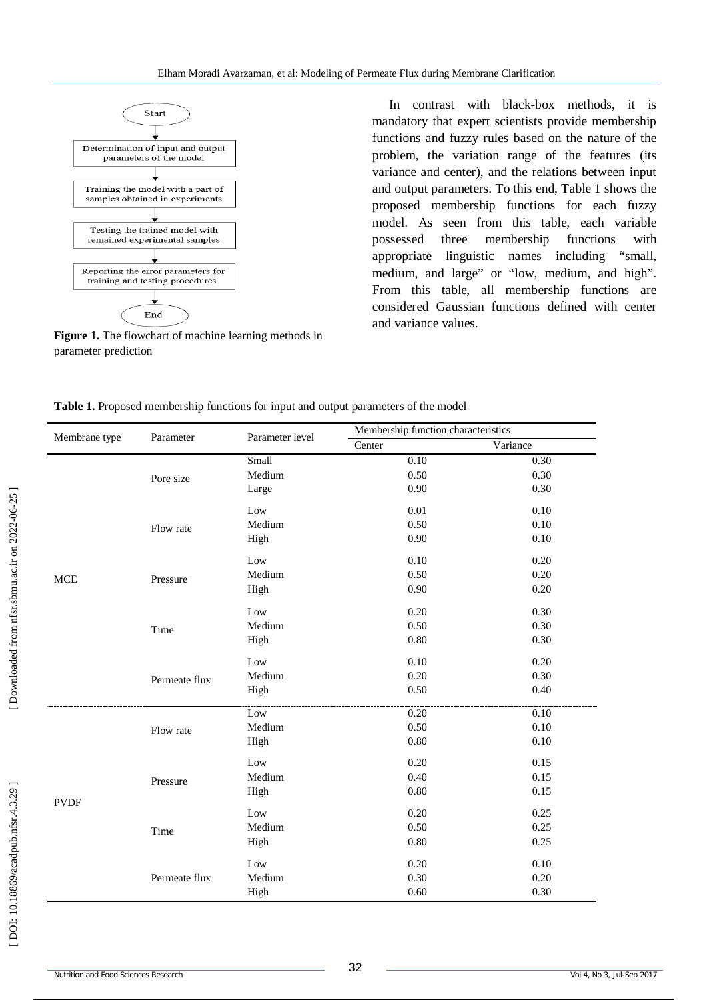

**Figure 1.** The flowchart of machine learning methods in parameter prediction

In contrast with black -box methods, it is mandatory that expert scientists provide membership functions and fuzzy rules based on the nature of the problem, the variation range of the features (its variance and center), and the relations between input and output parameters. To this end, Table 1 shows the proposed membership functions for each fuzzy model. As seen from this table, each variable possessed three membership functions with appropriate linguistic names including "small, medium, and large" or "low, medium, and high". From this table, all membership functions are considered Gaussian functions defined with center and variance values.

| Table 1. Proposed membership functions for input and output parameters of the model |  |  |  |  |  |  |  |
|-------------------------------------------------------------------------------------|--|--|--|--|--|--|--|
|-------------------------------------------------------------------------------------|--|--|--|--|--|--|--|

| Membrane type | Parameter     | Parameter level | Membership function characteristics |          |  |  |
|---------------|---------------|-----------------|-------------------------------------|----------|--|--|
|               |               |                 | Center                              | Variance |  |  |
|               |               | Small           | 0.10                                | 0.30     |  |  |
|               | Pore size     | Medium          | 0.50                                | 0.30     |  |  |
|               |               | Large           | 0.90                                | 0.30     |  |  |
|               |               | Low             | 0.01                                | 0.10     |  |  |
|               | Flow rate     | Medium          | 0.50                                | 0.10     |  |  |
|               |               | High            | 0.90                                | 0.10     |  |  |
|               |               | Low             | 0.10                                | 0.20     |  |  |
| <b>MCE</b>    | Pressure      | Medium          | 0.50                                | 0.20     |  |  |
|               |               | High            | 0.90                                | 0.20     |  |  |
|               |               | Low             | 0.20                                | 0.30     |  |  |
|               | Time          | Medium          | 0.50                                | 0.30     |  |  |
|               |               | High            | 0.80                                | 0.30     |  |  |
|               |               | Low             | 0.10                                | $0.20\,$ |  |  |
|               | Permeate flux | Medium          | 0.20                                | 0.30     |  |  |
|               |               | High            | 0.50                                | 0.40     |  |  |
|               |               | Low             | 0.20                                | 0.10     |  |  |
|               | Flow rate     | Medium          | 0.50                                | 0.10     |  |  |
|               |               | High            | 0.80                                | 0.10     |  |  |
|               |               | Low             | 0.20                                | 0.15     |  |  |
|               | Pressure      | Medium          | 0.40                                | 0.15     |  |  |
| <b>PVDF</b>   |               | High            | 0.80                                | 0.15     |  |  |
|               |               | Low             | 0.20                                | 0.25     |  |  |
|               | Time          | Medium          | 0.50                                | 0.25     |  |  |
|               |               | High            | 0.80                                | 0.25     |  |  |
|               |               | Low             | 0.20                                | 0.10     |  |  |
|               | Permeate flux | Medium          | 0.30                                | 0.20     |  |  |
|               |               | High            | 0.60                                | 0.30     |  |  |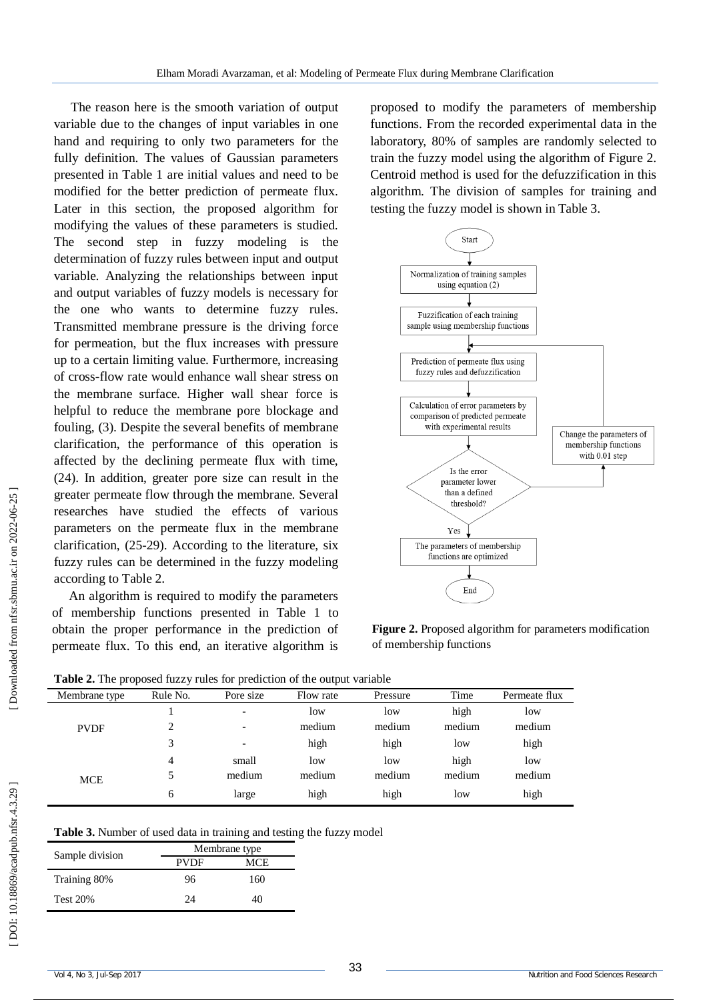The reason here is the smooth variation of output variable due to the changes of input variables in one hand and requiring to only two parameters for the fully definition. The values of Gaussian parameters presented in Table 1 are initial values and need to be modified for the better prediction of permeate flux. Later in this section, the proposed algorithm for modifying the values of these parameters is studied. The second step in fuzzy modeling is the determination of fuzzy rules between input and output variable. Analyzing the relationships between input and output variables of fuzzy models is necessary for the one who wants to determine fuzzy rules. Transmitted membrane pressure is the driving force for permeation, but the flux increases with pressure up to a certain limiting value. Furthermore, increasing of cross -flow rate would enhance wall shear stress on the membrane surface. Higher wall shear force is helpful to reduce the membrane pore blockage and fouling, ( 3 ). Despite the several benefits of membrane clarification, the performance of this operation is affected by the declining permeate flux with time, (24). In addition, greater pore size can result in the greater permeate flow through the membrane. Several researches have studied the effects of various parameters on the permeate flux in the membrane clarification, (25 -29 ). According to the literature, six fuzzy rules can be determined in the fuzzy modeling according to Table 2.

An algorithm is required to modify the parameters of membership functions presented in Table 1 to obtain the proper performance in the prediction of permeate flux. To this end, an iterative algorithm is

proposed to modify the parameters of membership functions. From the recorded experimental data in the laboratory, 80% of samples are randomly selected to train the fuzzy model using the algorithm of Figure 2. Centroid method is used for the defuzzification in this algorithm. The division of samples for training and testing the fuzzy model is shown in Table 3.





| Table 2. The proposed fuzzy rules for prediction of the output variable |  |
|-------------------------------------------------------------------------|--|
|-------------------------------------------------------------------------|--|

| $\mathbf{r}$  | -        | л.                       |           |          |        |               |
|---------------|----------|--------------------------|-----------|----------|--------|---------------|
| Membrane type | Rule No. | Pore size                | Flow rate | Pressure | Time   | Permeate flux |
|               |          | $\overline{\phantom{a}}$ | low       | low      | high   | low           |
| <b>PVDF</b>   | ↑        | $\overline{\phantom{a}}$ | medium    | medium   | medium | medium        |
|               | 3        | $\overline{\phantom{a}}$ | high      | high     | low    | high          |
| <b>MCE</b>    | 4        | small                    | low       | low      | high   | low           |
|               | 5        | medium                   | medium    | medium   | medium | medium        |
|               | 6        | large                    | high      | high     | low    | high          |

| Table 3. Number of used data in training and testing the fuzzy model |  |  |  |  |  |
|----------------------------------------------------------------------|--|--|--|--|--|
|----------------------------------------------------------------------|--|--|--|--|--|

|                 | Membrane type |            |  |  |  |
|-----------------|---------------|------------|--|--|--|
| Sample division | PVDF          | <b>MCE</b> |  |  |  |
| Training 80%    | 96            | 160        |  |  |  |
| <b>Test 20%</b> | 24            | 40         |  |  |  |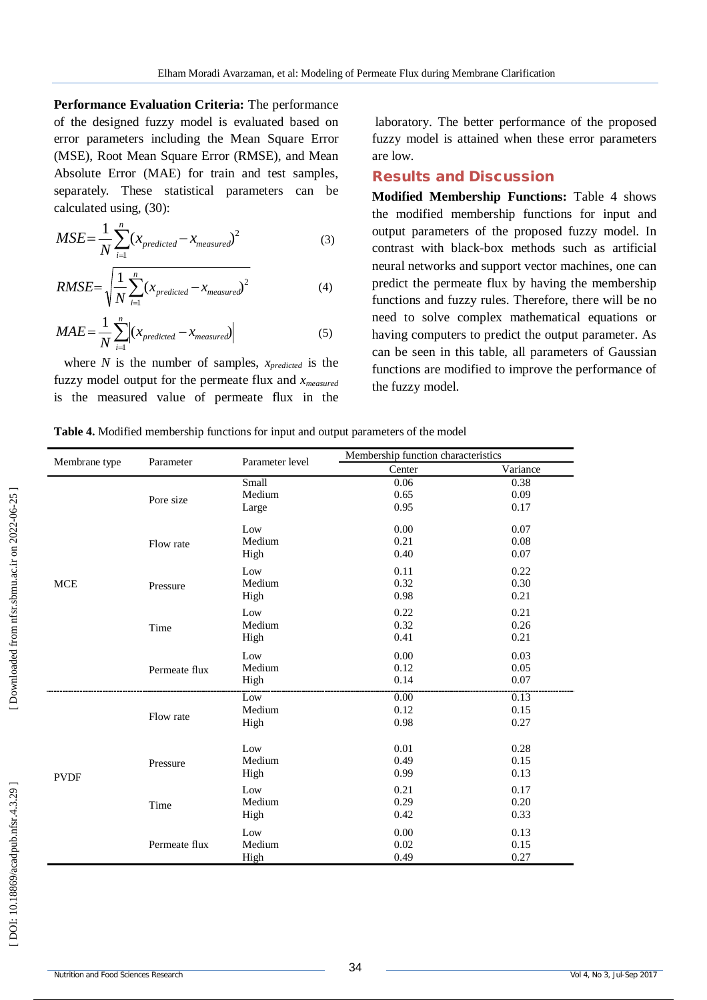**Performance Evaluation Criteria:** The performance of the designed fuzzy model is evaluated based on error parameters including the Mean Square Error (MSE), Root Mean Square Error (RMSE), and Mean Absolute Error (MAE) for train and test samples, separately. These statistical parameters can be calculated using, (30 ) :

$$
MSE = \frac{1}{N} \sum_{i=1}^{n} (x_{predicted} - x_{measured})^2
$$
 (3)

$$
RMSE = \sqrt{\frac{1}{N} \sum_{i=1}^{n} (x_{predicted} - x_{measured})^2}
$$
 (4)

$$
MAE = \frac{1}{N} \sum_{i=1}^{n} \left| (x_{predicted} - x_{measured}) \right| \tag{5}
$$

where  $N$  is the number of samples,  $x_{predicted}$  is the fuzzy model output for the permeate flux and *xmeasured* is the measured value of permeate flux in the

laboratory. The better performance of the proposed fuzzy model is attained when these error parameters are low.

#### **Results and Discussion**

**Modified Membership Functions:** Table 4 shows the modified membership functions for input and output parameters of the proposed fuzzy model. In contrast with black -box methods such as artificial neural networks and support vector machines, one can predict the permeate flux by having the membership functions and fuzzy rules. Therefore, there will be no need to solve complex mathematical equations or having computers to predict the output parameter. As can be seen in this table, all parameters of Gaussian functions are modified to improve the performance of the fuzzy model.

**Table 4.** Modified membership functions for input and output parameters of the model

|               |               | Parameter level | Membership function characteristics |          |
|---------------|---------------|-----------------|-------------------------------------|----------|
| Membrane type | Parameter     |                 | Center                              | Variance |
|               |               | Small           | 0.06                                | 0.38     |
|               | Pore size     | Medium          | 0.65                                | 0.09     |
|               |               | Large           | 0.95                                | 0.17     |
|               |               | Low             | 0.00                                | 0.07     |
|               | Flow rate     | Medium          | 0.21                                | 0.08     |
|               |               | High            | 0.40                                | 0.07     |
|               |               | Low             | 0.11                                | 0.22     |
| <b>MCE</b>    | Pressure      | Medium          | 0.32                                | 0.30     |
|               |               | High            | 0.98                                | 0.21     |
|               |               | Low             | 0.22                                | 0.21     |
|               | Time          | Medium          | 0.32                                | 0.26     |
|               |               | High            | 0.41                                | 0.21     |
|               |               | Low             | 0.00                                | 0.03     |
|               | Permeate flux | Medium          | 0.12                                | 0.05     |
|               |               | High            | 0.14                                | 0.07     |
|               |               | Low             | 0.00                                | 0.13     |
|               | Flow rate     | Medium          | 0.12                                | 0.15     |
|               |               | High            | 0.98                                | 0.27     |
|               |               | Low             | 0.01                                | 0.28     |
|               | Pressure      | Medium          | 0.49                                | 0.15     |
| <b>PVDF</b>   |               | High            | 0.99                                | 0.13     |
|               |               | Low             | 0.21                                | 0.17     |
|               | Time          | Medium          | 0.29                                | 0.20     |
|               |               | High            | 0.42                                | 0.33     |
|               |               | Low             | 0.00                                | 0.13     |
|               | Permeate flux | Medium          | 0.02                                | 0.15     |
|               |               | High            | 0.49                                | 0.27     |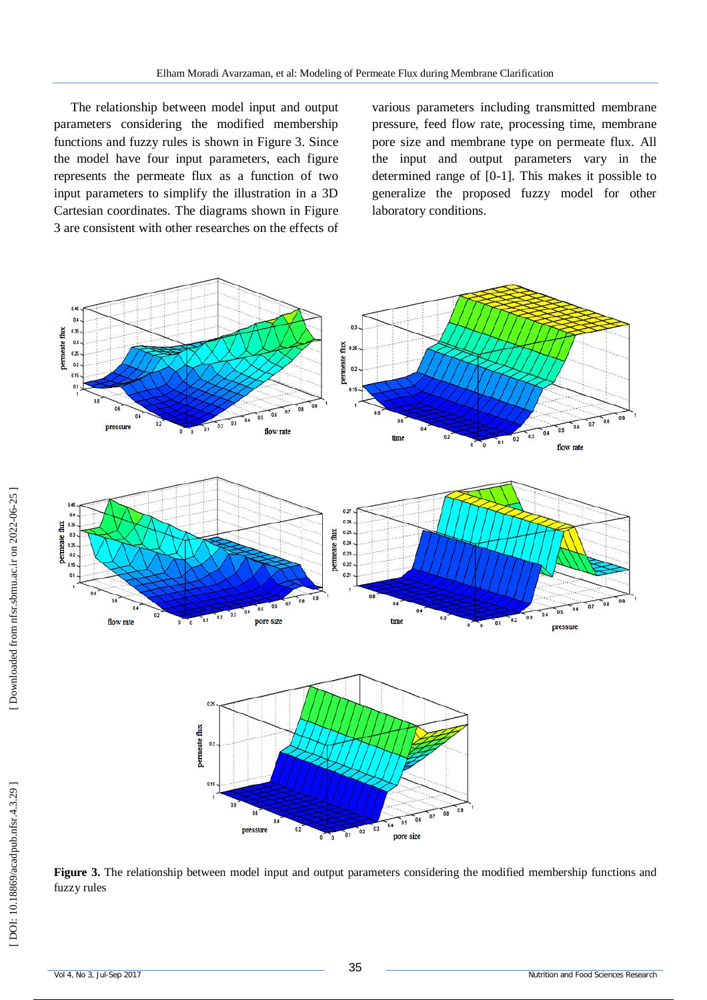The relationship between model input and output parameters considering the modified membership functions and fuzzy rules is shown in Figure 3. Since the model have four input parameters, each figure represents the permeate flux as a function of two input parameters to simplify the illustration in a 3D Cartesian coordinates. The diagrams shown in Figure 3 are consistent with other researches on the effects of various parameters including transmitted membrane pressure, feed flow rate, processing time, membrane pore size and membrane type on permeate flux. All the input and output parameters vary in the determined range of [0 -1]. This makes it possible to generalize the proposed fuzzy model for other laboratory conditions.



**Figure 3.** The relationship between model input and output parameters considering the modified membership functions and fuzzy rules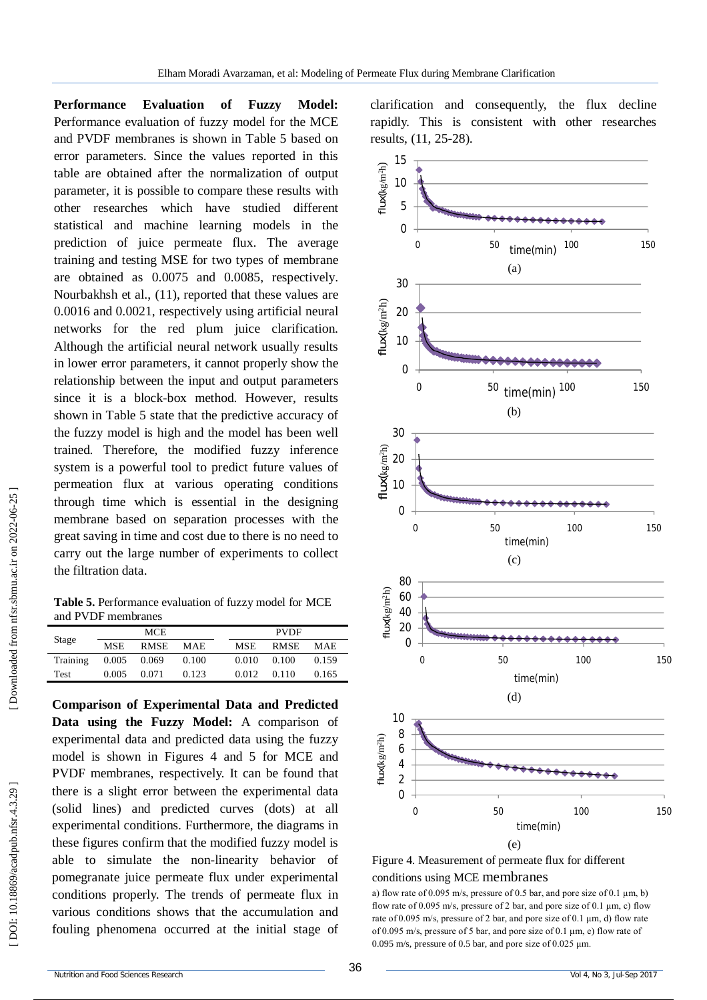**Performance Evaluation of Fuzzy Model:**  Performance evaluation of fuzzy model for the MCE and PVDF membranes is shown in Table 5 based on error parameters. Since the values reported in this table are obtained after the normalization of output parameter, it is possible to compare these results with other researches which have studied different statistical and machine learning models in the prediction of juice permeate flux. The average training and testing MSE for two types of membrane are obtained as 0.0075 and 0.0085, respectively. Nourbakhsh et al., (11), reported that these values are 0.0016 and 0.0021, respectively using artificial neural networks for the red plum juice clarification. Although the artificial neural network usually results in lower error parameters, it cannot properly show the relationship between the input and output parameters since it is a block -box method. However, results shown in Table 5 state that the predictive accuracy of the fuzzy model is high and the model has been well trained. Therefore, the modified fuzzy inference system is a powerful tool to predict future values of permeation flux at various operating conditions through time which is essential in the designing membrane based on separation processes with the great saving in time and cost due to there is no need to carry out the large number of experiments to collect the filtration data.

**Table 5.** Performance evaluation of fuzzy model for MCE and PVDF membranes

| Stage    | <b>MCE</b> |             |            | <b>PVDF</b> |             |       |  |
|----------|------------|-------------|------------|-------------|-------------|-------|--|
|          | MSE.       | <b>RMSE</b> | <b>MAE</b> | <b>MSE</b>  | <b>RMSE</b> | MAE.  |  |
| Training | 0.005      | 0.069       | 0.100      | 0.010       | 0.100       | 0.159 |  |
| Test     | 0.005      | 0.071       | 0.123      | 0.012       | 0.110       | 0.165 |  |

**Comparison of Experimental Data and Predicted Data using the Fuzzy Model:** A comparison of experimental data and predicted data using the fuzzy model is shown in Figures 4 and 5 for MCE and PVDF membranes, respectively. It can be found that there is a slight error between the experimental data (solid lines) and predicted curves (dots) at all experimental conditions. Furthermore, the diagrams in these figures confirm that the modified fuzzy model is able to simulate the non -linearity behavior of pomegranate juice permeate flux under experimental conditions properly. The trends of permeate flux in various conditions shows that the accumulation and fouling phenomena occurred at the initial stage of

clarification and consequently, the flux decline rapidly. This is consistent with other researches results, (11, 25 -28).





a) flow rate of 0.095 m/s, pressure of 0.5 bar, and pore size of 0.1  $\mu$ m, b) flow rate of 0.095 m/s, pressure of 2 bar, and pore size of 0.1  $\mu$ m, c) flow rate of 0.095 m/s, pressure of 2 bar, and pore size of 0.1 μm, d) flow rate of 0.095 m/s, pressure of 5 bar, and pore size of 0.1 μm, e) flow rate of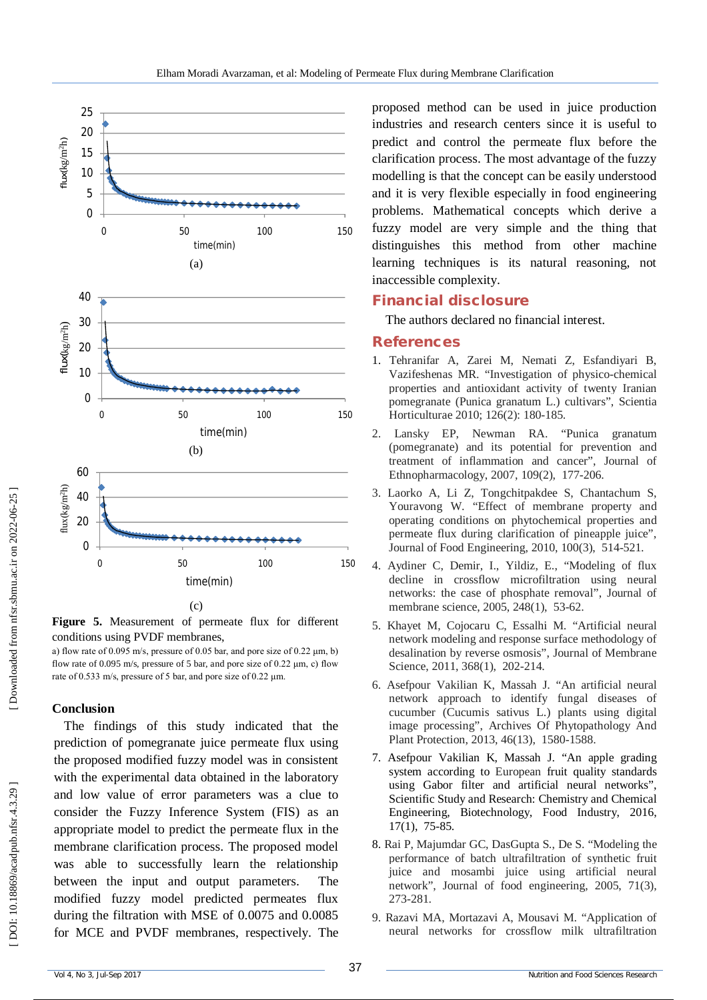

**Figure 5.** Measurement of permeate flux for different conditions using PVDF membranes,

a) flow rate of 0.095 m/s, pressure of 0.05 bar, and pore size of 0.22 μm, b) flow rate of 0.095 m/s, pressure of 5 bar, and pore size of 0.22  $\mu$ m, c) flow rate of 0.533 m/s, pressure of 5 bar, and pore size of 0.22 μm.

## **Conclusion**

The findings of this study indicated that the prediction of pomegranate juice permeate flux using the proposed modified fuzzy model was in consistent with the experimental data obtained in the laboratory and low value of error parameters was a clue to consider the Fuzzy Inference System (FIS) as an appropriate model to predict the permeate flux in the membrane clarification process. The proposed model was able to successfully learn the relationship between the input and output parameters. The modified fuzzy model predicted permeates flux during the filtration with MSE of 0.0075 and 0.0085 for MCE and PVDF membranes, respectively. The proposed method can be used in juice production industries and research centers since it is useful to predict and control the permeate flux before the clarification process. The most advantage of the fuzzy modelling is that the concept can be easily understood and it is very flexible especially in food engineering problems. Mathematical concepts which derive a fuzzy model are very simple and the thing that distinguishes this method from other machine learning techniques is its natural reasoning, not inaccessible complexity.

## **Financial disclosure**

The authors declared no financial interest.

### **References**

- 1. Tehranifar A, Zarei M, Nemati Z, Esfandiyari B, Vazifeshenas MR. "Investigation of physico -chemical properties and antioxidant activity of twenty Iranian pomegranate (Punica granatum L.) cultivars", Scientia Horticulturae 2010; 126(2) : 180 -185.
- 2. Lansky EP, Newman RA. "Punica granatum (pomegranate) and its potential for prevention and treatment of inflammation and cancer", Journal of Ethnopharmacology, 2007, 109(2), 177 -206.
- 3. Laorko A, Li Z, Tongchitpakdee S, Chantachum S, Youravong W. "Effect of membrane property and operating conditions on phytochemical properties and permeate flux during clarification of pineapple juice", Journal of Food Engineering, 2010, 100(3), 514 - 521.
- 4. Aydiner C, Demir, I., Yildiz, E., "Modeling of flux decline in crossflow microfiltration using neural networks: the case of phosphate removal", Journal of membrane science, 2005, 248(1), 53 -62.
- 5. Khayet M, Cojocaru C, Essalhi M . "Artificial neural network modeling and response surface methodology of desalination by reverse osmosis", Journal of Membrane Science, 2011, 368(1), 202-214.
- 6. Asefpour Vakilian K, Massah J. "An artificial neural network approach to identify fungal diseases of cucumber (Cucumis sativus L.) plants using digital image processing", Archives Of Phytopathology And Plant Protection, 2013, 46(13), 1580 -1588.
- 7. Asefpour Vakilian K, Massah J . "An apple grading system according to European fruit quality standards using Gabor filter and artificial neural networks", Scientific Study and Research: Chemistry and Chemical Engineering, Biotechnology, Food Industry, 2016, 17(1), 75 -85.
- 8. Rai P, Majumdar GC, DasGupta S., De S. "Modeling the performance of batch ultrafiltration of synthetic fruit juice and mosambi juice using artificial neural network", Journal of food engineering, 2005, 71(3), 273 -281.
- 9. Razavi MA, Mortazavi A, Mousavi M. "Application of neural networks for crossflow milk ultrafiltration